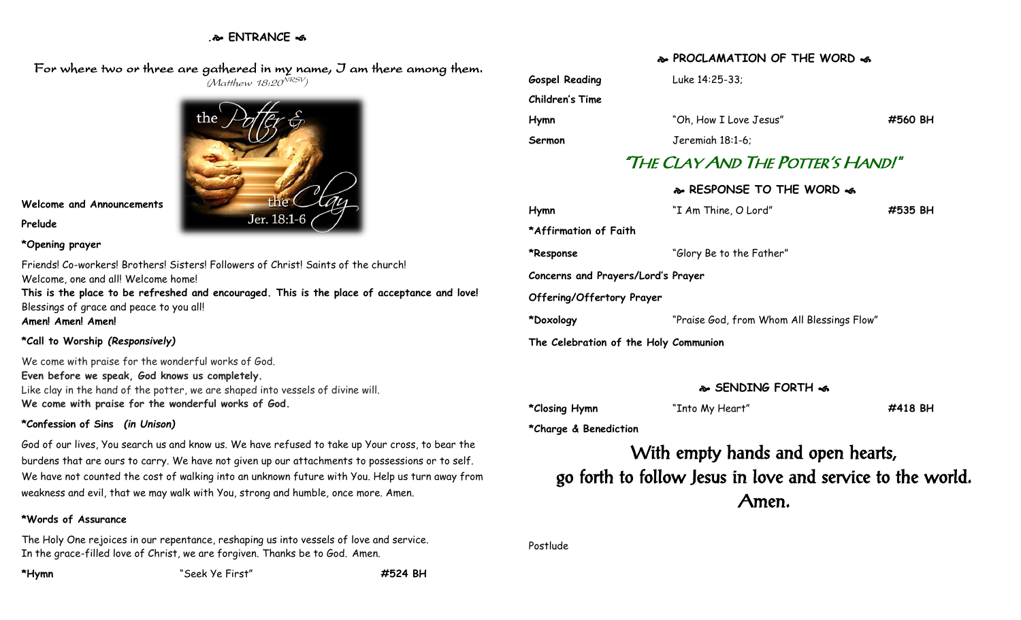### **. ENTRANCE**

 For where two or three are gathered in my name, I am there among them. (Matthew 18:20<sup>NRSV</sup>)



# **Welcome and Announcements**

**Prelude**

#### **\*Opening prayer**

Friends! Co-workers! Brothers! Sisters! Followers of Christ! Saints of the church! Welcome, one and all! Welcome home!

**This is the place to be refreshed and encouraged. This is the place of acceptance and love!** Blessings of grace and peace to you all! **Amen! Amen! Amen!**

#### **\*Call to Worship** *(Responsively)*

We come with praise for the wonderful works of God. **Even before we speak, God knows us completely.** Like clay in the hand of the potter, we are shaped into vessels of divine will. **We come with praise for the wonderful works of God.**

### **\*Confession of Sins** *(in Unison)*

God of our lives, You search us and know us. We have refused to take up Your cross, to bear the burdens that are ours to carry. We have not given up our attachments to possessions or to self. We have not counted the cost of walking into an unknown future with You. Help us turn away from weakness and evil, that we may walk with You, strong and humble, once more. Amen.

### **\*Words of Assurance**

The Holy One rejoices in our repentance, reshaping us into vessels of love and service. In the grace-filled love of Christ, we are forgiven. Thanks be to God. Amen.

**\*Hymn** "Seek Ye First" **#524 BH**

**PROCLAMATION OF THE WORD** 

**Gospel Reading** Luke 14:25-33; **Children's Time**

**Hymn** "Oh, How I Love Jesus" **#560 BH Sermon** Jeremiah 18:1-6;

# "THE CLAY AND THE POTTER'S HAND!"

### **RESPONSE TO THE WORD**

| Hymn                                  | "I Am Thine, O Lord"                       | #535 BH |
|---------------------------------------|--------------------------------------------|---------|
| *Affirmation of Faith                 |                                            |         |
| *Response                             | "Glory Be to the Father"                   |         |
| Concerns and Prayers/Lord's Prayer    |                                            |         |
| <b>Offering/Offertory Prayer</b>      |                                            |         |
| *Doxology                             | "Praise God, from Whom All Blessings Flow" |         |
| The Celebration of the Holy Communion |                                            |         |

## **SENDING FORTH**

**\*Closing Hymn** "Into My Heart" **#418 BH**

**\*Charge & Benediction**

With empty hands and open hearts, go forth to follow Jesus in love and service to the world. Amen.

Postlude